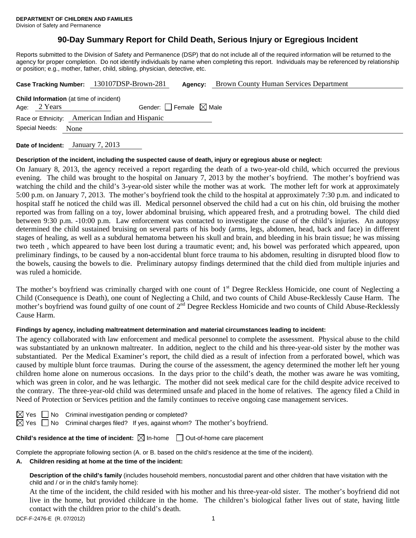# **90-Day Summary Report for Child Death, Serious Injury or Egregious Incident**

Reports submitted to the Division of Safety and Permanence (DSP) that do not include all of the required information will be returned to the agency for proper completion. Do not identify individuals by name when completing this report. Individuals may be referenced by relationship or position; e.g., mother, father, child, sibling, physician, detective, etc.

|                                                 |              | Case Tracking Number: 130107DSP-Brown-281 | Agency: | Brown County Human Services Department |  |  |  |  |  |
|-------------------------------------------------|--------------|-------------------------------------------|---------|----------------------------------------|--|--|--|--|--|
| <b>Child Information</b> (at time of incident)  |              |                                           |         |                                        |  |  |  |  |  |
|                                                 | Age: 2 Years | Gender: Female $\boxtimes$ Male           |         |                                        |  |  |  |  |  |
| Race or Ethnicity: American Indian and Hispanic |              |                                           |         |                                        |  |  |  |  |  |
| Special Needs:<br>None                          |              |                                           |         |                                        |  |  |  |  |  |
|                                                 |              | 7.010                                     |         |                                        |  |  |  |  |  |

**Date of Incident:** January 7, 2013

#### **Description of the incident, including the suspected cause of death, injury or egregious abuse or neglect:**

On January 8, 2013, the agency received a report regarding the death of a two-year-old child, which occurred the previous evening. The child was brought to the hospital on January 7, 2013 by the mother's boyfriend. The mother's boyfriend was watching the child and the child's 3-year-old sister while the mother was at work. The mother left for work at approximately 5:00 p.m. on January 7, 2013. The mother's boyfriend took the child to the hospital at approximately 7:30 p.m. and indicated to hospital staff he noticed the child was ill. Medical personnel observed the child had a cut on his chin, old bruising the mother reported was from falling on a toy, lower abdominal bruising, which appeared fresh, and a protruding bowel. The child died between 9:30 p.m. -10:00 p.m. Law enforcement was contacted to investigate the cause of the child's injuries. An autopsy determined the child sustained bruising on several parts of his body (arms, legs, abdomen, head, back and face) in different stages of healing, as well as a subdural hematoma between his skull and brain, and bleeding in his brain tissue; he was missing two teeth , which appeared to have been lost during a traumatic event; and, his bowel was perforated which appeared, upon preliminary findings, to be caused by a non-accidental blunt force trauma to his abdomen, resulting in disrupted blood flow to the bowels, causing the bowels to die. Preliminary autopsy findings determined that the child died from multiple injuries and was ruled a homicide.

The mother's boyfriend was criminally charged with one count of 1<sup>st</sup> Degree Reckless Homicide, one count of Neglecting a Child (Consequence is Death), one count of Neglecting a Child, and two counts of Child Abuse-Recklessly Cause Harm. The mother's boyfriend was found guilty of one count of 2<sup>nd</sup> Degree Reckless Homicide and two counts of Child Abuse-Recklessly Cause Harm.

# **Findings by agency, including maltreatment determination and material circumstances leading to incident:**

The agency collaborated with law enforcement and medical personnel to complete the assessment. Physical abuse to the child was substantiated by an unknown maltreater. In addition, neglect to the child and his three-year-old sister by the mother was substantiated. Per the Medical Examiner's report, the child died as a result of infection from a perforated bowel, which was caused by multiple blunt force traumas. During the course of the assessment, the agency determined the mother left her young children home alone on numerous occasions. In the days prior to the child's death, the mother was aware he was vomiting, which was green in color, and he was lethargic. The mother did not seek medical care for the child despite advice received to the contrary. The three-year-old child was determined unsafe and placed in the home of relatives. The agency filed a Child in Need of Protection or Services petition and the family continues to receive ongoing case management services.

| ٦ |
|---|
|   |

 $\Box$  No Criminal investigation pending or completed?

 $\boxtimes$  Yes  $\Box$  No Criminal charges filed? If yes, against whom? The mother's boyfriend.

# **Child's residence at the time of incident:**  $\boxtimes$  In-home  $\Box$  Out-of-home care placement

Complete the appropriate following section (A. or B. based on the child's residence at the time of the incident).

# **A. Children residing at home at the time of the incident:**

**Description of the child's family** (includes household members, noncustodial parent and other children that have visitation with the child and / or in the child's family home):

 At the time of the incident, the child resided with his mother and his three-year-old sister. The mother's boyfriend did not live in the home, but provided childcare in the home. The children's biological father lives out of state, having little contact with the children prior to the child's death.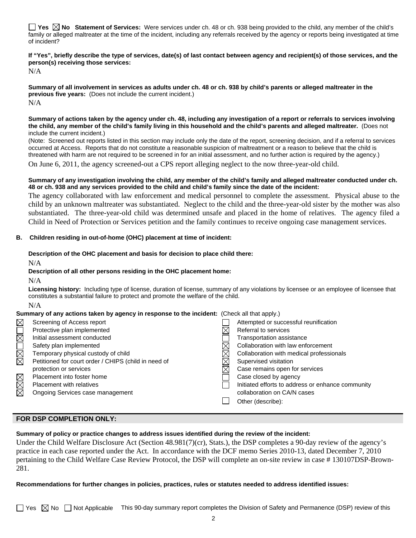**Yes**  $\boxtimes$  **No** Statement of Services: Were services under ch. 48 or ch. 938 being provided to the child, any member of the child's family or alleged maltreater at the time of the incident, including any referrals received by the agency or reports being investigated at time of incident?

**If "Yes", briefly describe the type of services, date(s) of last contact between agency and recipient(s) of those services, and the person(s) receiving those services:** 

N/A

**Summary of all involvement in services as adults under ch. 48 or ch. 938 by child's parents or alleged maltreater in the previous five years:** (Does not include the current incident.) N/A

#### **Summary of actions taken by the agency under ch. 48, including any investigation of a report or referrals to services involving the child, any member of the child's family living in this household and the child's parents and alleged maltreater.** (Does not include the current incident.)

(Note: Screened out reports listed in this section may include only the date of the report, screening decision, and if a referral to services occurred at Access. Reports that do not constitute a reasonable suspicion of maltreatment or a reason to believe that the child is threatened with harm are not required to be screened in for an initial assessment, and no further action is required by the agency.)

On June 6, 2011, the agency screened-out a CPS report alleging neglect to the now three-year-old child.

#### **Summary of any investigation involving the child, any member of the child's family and alleged maltreater conducted under ch. 48 or ch. 938 and any services provided to the child and child's family since the date of the incident:**

The agency collaborated with law enforcement and medical personnel to complete the assessment. Physical abuse to the child by an unknown maltreater was substantiated. Neglect to the child and the three-year-old sister by the mother was also substantiated. The three-year-old child was determined unsafe and placed in the home of relatives. The agency filed a Child in Need of Protection or Services petition and the family continues to receive ongoing case management services.

# **B. Children residing in out-of-home (OHC) placement at time of incident:**

# **Description of the OHC placement and basis for decision to place child there:**

N/A

# **Description of all other persons residing in the OHC placement home:**

N/A

**Licensing history:** Including type of license, duration of license, summary of any violations by licensee or an employee of licensee that constitutes a substantial failure to protect and promote the welfare of the child.

N/A

# **Summary of any actions taken by agency in response to the incident:** (Check all that apply.)

|        | Screening of Access report                           |  | Attempted or successful reunification             |  |  |
|--------|------------------------------------------------------|--|---------------------------------------------------|--|--|
| MMOMOR | Protective plan implemented                          |  | Referral to services                              |  |  |
|        | Initial assessment conducted                         |  | Transportation assistance                         |  |  |
|        | Safety plan implemented                              |  | Collaboration with law enforcement                |  |  |
|        | Temporary physical custody of child                  |  | Collaboration with medical professionals          |  |  |
|        | Petitioned for court order / CHIPS (child in need of |  | Supervised visitation                             |  |  |
|        | protection or services                               |  | Case remains open for services                    |  |  |
| MMM    | Placement into foster home                           |  | Case closed by agency                             |  |  |
|        | <b>Placement with relatives</b>                      |  | Initiated efforts to address or enhance community |  |  |
|        | Ongoing Services case management                     |  | collaboration on CA/N cases                       |  |  |
|        |                                                      |  | Other (describe):                                 |  |  |
|        |                                                      |  |                                                   |  |  |

# **FOR DSP COMPLETION ONLY:**

# **Summary of policy or practice changes to address issues identified during the review of the incident:**

Under the Child Welfare Disclosure Act (Section 48.981(7)(cr), Stats.), the DSP completes a 90-day review of the agency's practice in each case reported under the Act. In accordance with the DCF memo Series 2010-13, dated December 7, 2010 pertaining to the Child Welfare Case Review Protocol, the DSP will complete an on-site review in case # 130107DSP-Brown-281.

# **Recommendations for further changes in policies, practices, rules or statutes needed to address identified issues:**

 $\Box$  Yes  $\boxtimes$  No  $\Box$  Not Applicable This 90-day summary report completes the Division of Safety and Permanence (DSP) review of this